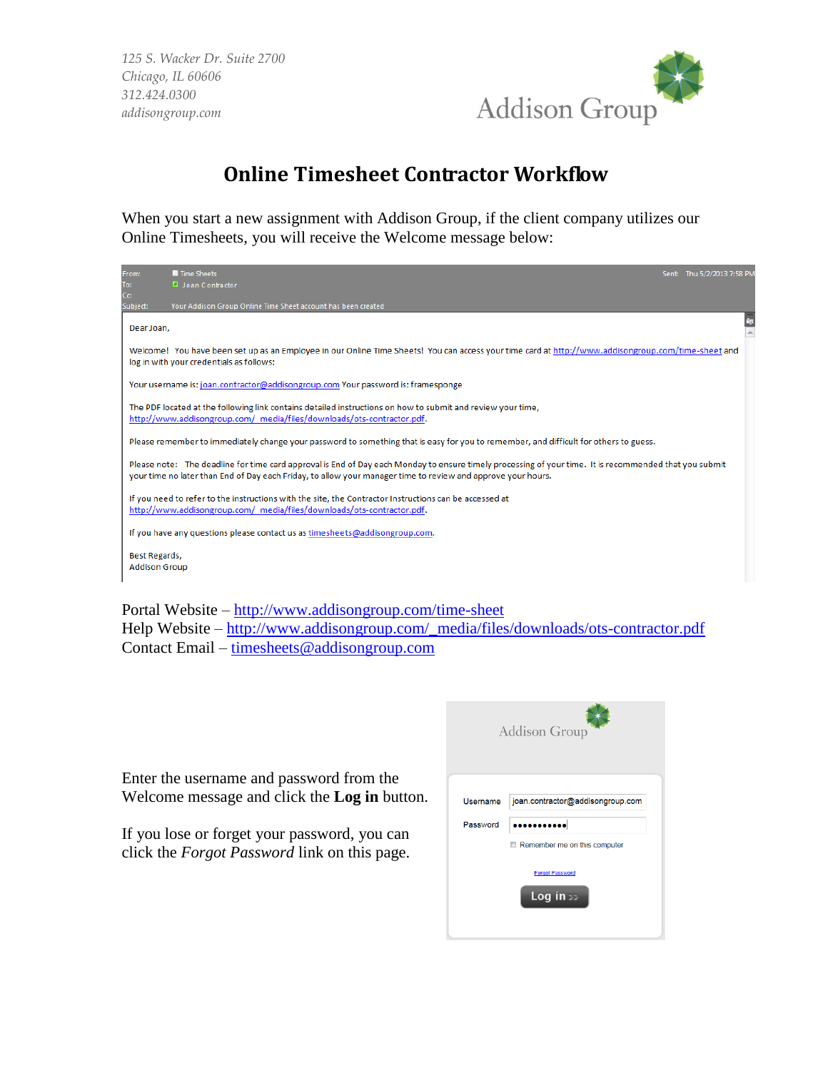*125 S. Wacker Dr. Suite 2700 Chicago, IL 60606 312.424.0300 addisongroup.com*



## **Online Timesheet Contractor Workflow**

When you start a new assignment with Addison Group, if the client company utilizes our Online Timesheets, you will receive the Welcome message below:



Portal Website – <http://www.addisongroup.com/time-sheet> Help Website – [http://www.addisongroup.com/\\_media/files/downloads/ots-contractor.pdf](http://www.addisongroup.com/_media/files/downloads/ots-contractor.pdf) Contact Email – [timesheets@addisongroup.com](mailto:timesheets@addisonsearch.com)

|                                                                                                                                                                                                        | <b>Addison Group</b>                                                                                                               |
|--------------------------------------------------------------------------------------------------------------------------------------------------------------------------------------------------------|------------------------------------------------------------------------------------------------------------------------------------|
| Enter the username and password from the<br>Welcome message and click the <b>Log in</b> button.<br>If you lose or forget your password, you can<br>click the <i>Forgot Password</i> link on this page. | joan.contractor@addisongroup.com<br>Username<br>Password<br>Remember me on this computer<br><b>Forgot Password</b><br>Log in $\gg$ |
|                                                                                                                                                                                                        |                                                                                                                                    |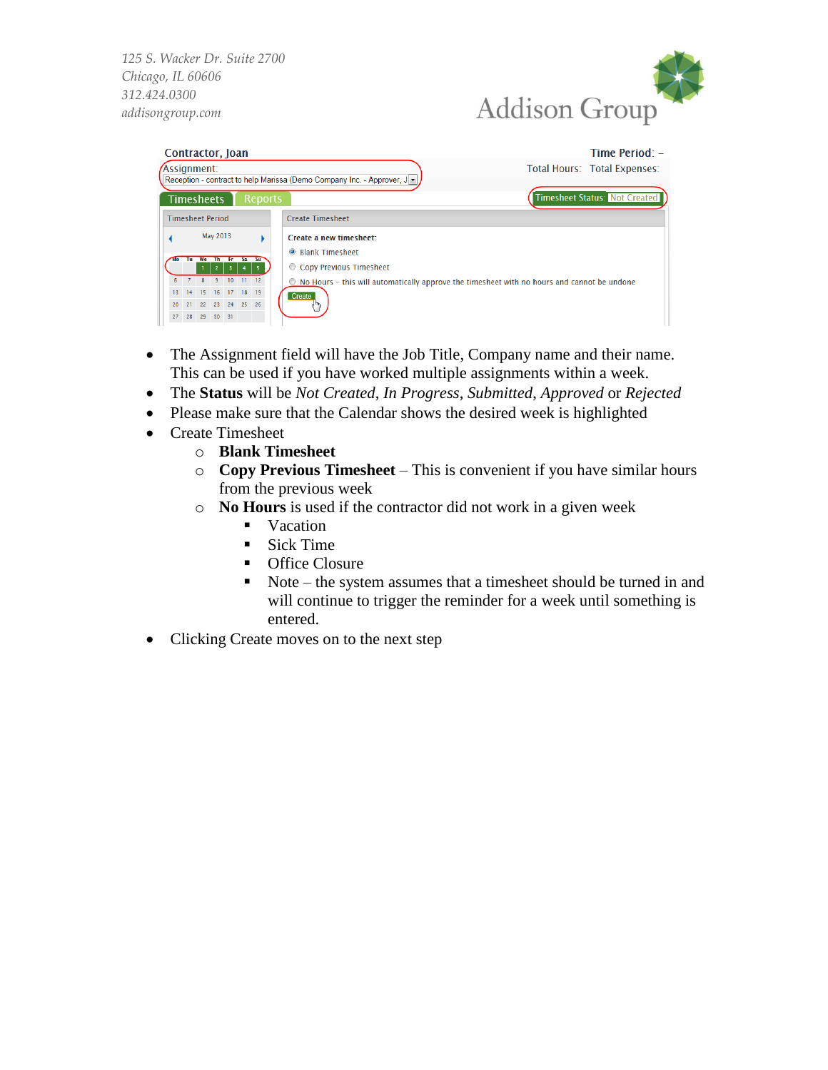*125 S. Wacker Dr. Suite 2700 Chicago, IL 60606 312.424.0300 addisongroup.com*



| <b>Contractor, Ioan</b> |          |  |    |  |                |                |                                                                                                         | Time Period: -                                                                                |  |
|-------------------------|----------|--|----|--|----------------|----------------|---------------------------------------------------------------------------------------------------------|-----------------------------------------------------------------------------------------------|--|
| Assignment:             |          |  |    |  |                |                | Total Hours: Total Expenses:<br>Reception - contract to help Marissa (Demo Company Inc. - Approver, J - |                                                                                               |  |
| <b>Timesheets</b>       |          |  |    |  |                | <b>Reports</b> |                                                                                                         | <b>Timesheet Status: Not Created</b>                                                          |  |
| <b>Timesheet Period</b> |          |  |    |  |                |                |                                                                                                         | <b>Create Timesheet</b>                                                                       |  |
|                         | May 2013 |  |    |  |                |                |                                                                                                         | Create a new timesheet:<br><b>O</b> Blank Timesheet                                           |  |
|                         |          |  |    |  |                |                |                                                                                                         | © Copy Previous Timesheet                                                                     |  |
|                         |          |  |    |  | $10$ $11$ $12$ |                |                                                                                                         | © No Hours - this will automatically approve the timesheet with no hours and cannot be undone |  |
|                         |          |  | 16 |  | $17$ 18        | 19             |                                                                                                         | Create                                                                                        |  |
|                         |          |  |    |  | 23 24 25 26    |                |                                                                                                         |                                                                                               |  |
|                         |          |  |    |  |                |                |                                                                                                         |                                                                                               |  |

- The Assignment field will have the Job Title, Company name and their name. This can be used if you have worked multiple assignments within a week.
- The **Status** will be *Not Created*, *In Progress*, *Submitted*, *Approved* or *Rejected*
- Please make sure that the Calendar shows the desired week is highlighted
- Create Timesheet
	- o **Blank Timesheet**
	- o **Copy Previous Timesheet** This is convenient if you have similar hours from the previous week
	- o **No Hours** is used if the contractor did not work in a given week
		- Vacation
		- **Sick Time**
		- **•** Office Closure
		- Note the system assumes that a timesheet should be turned in and will continue to trigger the reminder for a week until something is entered.
- Clicking Create moves on to the next step